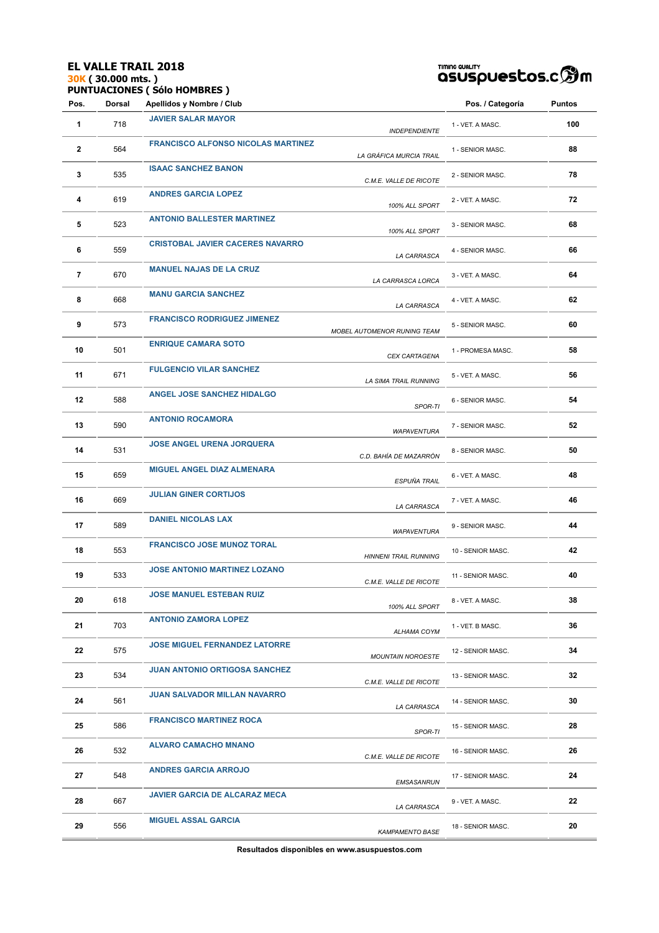#### **EL VALLE TRAIL 2018 30K ( 30.000 mts. ) PUNTUACIONES ( Sólo HOMBRES )**



| Pos. | Dorsal | Apellidos y Nombre / Club                 |                              | Pos. / Categoría  | Puntos |
|------|--------|-------------------------------------------|------------------------------|-------------------|--------|
| 1    | 718    | <b>JAVIER SALAR MAYOR</b>                 | <b>INDEPENDIENTE</b>         | 1 - VET. A MASC.  | 100    |
| 2    | 564    | <b>FRANCISCO ALFONSO NICOLAS MARTINEZ</b> | LA GRÁFICA MURCIA TRAIL      | 1 - SENIOR MASC.  | 88     |
| 3    | 535    | <b>ISAAC SANCHEZ BANON</b>                | C.M.E. VALLE DE RICOTE       | 2 - SENIOR MASC.  | 78     |
| 4    | 619    | <b>ANDRES GARCIA LOPEZ</b>                | 100% ALL SPORT               | 2 - VET. A MASC.  | 72     |
| 5    | 523    | <b>ANTONIO BALLESTER MARTINEZ</b>         | 100% ALL SPORT               | 3 - SENIOR MASC.  | 68     |
| 6    | 559    | <b>CRISTOBAL JAVIER CACERES NAVARRO</b>   | LA CARRASCA                  | 4 - SENIOR MASC.  | 66     |
| 7    | 670    | <b>MANUEL NAJAS DE LA CRUZ</b>            | LA CARRASCA LORCA            | 3 - VET. A MASC.  | 64     |
| 8    | 668    | <b>MANU GARCIA SANCHEZ</b>                | LA CARRASCA                  | 4 - VET. A MASC.  | 62     |
| 9    | 573    | <b>FRANCISCO RODRIGUEZ JIMENEZ</b>        | MOBEL AUTOMENOR RUNING TEAM  | 5 - SENIOR MASC.  | 60     |
| 10   | 501    | <b>ENRIQUE CAMARA SOTO</b>                | <b>CEX CARTAGENA</b>         | 1 - PROMESA MASC. | 58     |
| 11   | 671    | <b>FULGENCIO VILAR SANCHEZ</b>            | LA SIMA TRAIL RUNNING        | 5 - VET. A MASC.  | 56     |
| 12   | 588    | <b>ANGEL JOSE SANCHEZ HIDALGO</b>         | SPOR-TI                      | 6 - SENIOR MASC.  | 54     |
| 13   | 590    | <b>ANTONIO ROCAMORA</b>                   | <b>WAPAVENTURA</b>           | 7 - SENIOR MASC.  | 52     |
| 14   | 531    | <b>JOSE ANGEL URENA JORQUERA</b>          | C.D. BAHÍA DE MAZARRÓN       | 8 - SENIOR MASC.  | 50     |
| 15   | 659    | <b>MIGUEL ANGEL DIAZ ALMENARA</b>         | ESPUÑA TRAIL                 | 6 - VET. A MASC.  | 48     |
| 16   | 669    | <b>JULIAN GINER CORTIJOS</b>              | LA CARRASCA                  | 7 - VET. A MASC.  | 46     |
| 17   | 589    | <b>DANIEL NICOLAS LAX</b>                 | <b>WAPAVENTURA</b>           | 9 - SENIOR MASC.  | 44     |
| 18   | 553    | <b>FRANCISCO JOSE MUNOZ TORAL</b>         | <b>HINNENI TRAIL RUNNING</b> | 10 - SENIOR MASC. | 42     |
| 19   | 533    | <b>JOSE ANTONIO MARTINEZ LOZANO</b>       | C.M.E. VALLE DE RICOTE       | 11 - SENIOR MASC. | 40     |
| 20   | 618    | JOSE MANUEL ESTEBAN RUIZ                  | 100% ALL SPORT               | 8 - VET. A MASC.  | 38     |
| 21   | 703    | <b>ANTONIO ZAMORA LOPEZ</b>               | ALHAMA COYM                  | 1 - VET. B MASC.  | 36     |
| 22   | 575    | <b>JOSE MIGUEL FERNANDEZ LATORRE</b>      | <b>MOUNTAIN NOROESTE</b>     | 12 - SENIOR MASC. | 34     |
| 23   | 534    | <b>JUAN ANTONIO ORTIGOSA SANCHEZ</b>      | C.M.E. VALLE DE RICOTE       | 13 - SENIOR MASC. | 32     |
| 24   | 561    | <b>JUAN SALVADOR MILLAN NAVARRO</b>       | LA CARRASCA                  | 14 - SENIOR MASC. | 30     |
| 25   | 586    | <b>FRANCISCO MARTINEZ ROCA</b>            | SPOR-TI                      | 15 - SENIOR MASC. | 28     |
| 26   | 532    | <b>ALVARO CAMACHO MNANO</b>               | C.M.E. VALLE DE RICOTE       | 16 - SENIOR MASC. | 26     |
| 27   | 548    | <b>ANDRES GARCIA ARROJO</b>               | <b>EMSASANRUN</b>            | 17 - SENIOR MASC. | 24     |
| 28   | 667    | <b>JAVIER GARCIA DE ALCARAZ MECA</b>      | LA CARRASCA                  | 9 - VET. A MASC.  | 22     |
| 29   | 556    | <b>MIGUEL ASSAL GARCIA</b>                | <b>KAMPAMENTO BASE</b>       | 18 - SENIOR MASC. | 20     |
|      |        |                                           |                              |                   |        |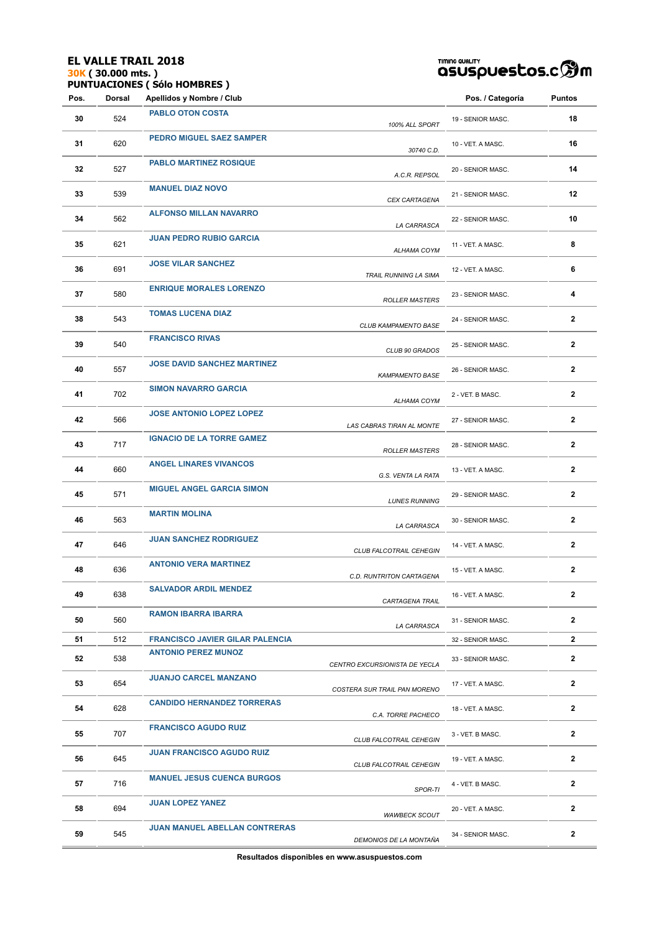#### **EL VALLE TRAIL 2018 30K ( 30.000 mts. ) PUNTUACIONES ( Sólo HOMBRES )**



| Pos. | Dorsal | Apellidos y Nombre / Club              |                               | Pos. / Categoría  | Puntos       |
|------|--------|----------------------------------------|-------------------------------|-------------------|--------------|
| 30   | 524    | <b>PABLO OTON COSTA</b>                | 100% ALL SPORT                | 19 - SENIOR MASC. | 18           |
| 31   | 620    | PEDRO MIGUEL SAEZ SAMPER               | 30740 C.D.                    | 10 - VET. A MASC. | 16           |
| 32   | 527    | <b>PABLO MARTINEZ ROSIQUE</b>          | A.C.R. REPSOL                 | 20 - SENIOR MASC. | 14           |
| 33   | 539    | <b>MANUEL DIAZ NOVO</b>                | CEX CARTAGENA                 | 21 - SENIOR MASC. | 12           |
| 34   | 562    | <b>ALFONSO MILLAN NAVARRO</b>          | LA CARRASCA                   | 22 - SENIOR MASC. | 10           |
| 35   | 621    | <b>JUAN PEDRO RUBIO GARCIA</b>         | ALHAMA COYM                   | 11 - VET. A MASC. | 8            |
| 36   | 691    | <b>JOSE VILAR SANCHEZ</b>              | <b>TRAIL RUNNING LA SIMA</b>  | 12 - VET. A MASC. | 6            |
| 37   | 580    | <b>ENRIQUE MORALES LORENZO</b>         | <b>ROLLER MASTERS</b>         | 23 - SENIOR MASC. | 4            |
| 38   | 543    | <b>TOMAS LUCENA DIAZ</b>               | CLUB KAMPAMENTO BASE          | 24 - SENIOR MASC. | $\mathbf{2}$ |
| 39   | 540    | <b>FRANCISCO RIVAS</b>                 | CLUB 90 GRADOS                | 25 - SENIOR MASC. | $\mathbf{2}$ |
| 40   | 557    | <b>JOSE DAVID SANCHEZ MARTINEZ</b>     | <b>KAMPAMENTO BASE</b>        | 26 - SENIOR MASC. | 2            |
| 41   | 702    | <b>SIMON NAVARRO GARCIA</b>            | ALHAMA COYM                   | 2 - VET. B MASC.  | $\mathbf{2}$ |
| 42   | 566    | <b>JOSE ANTONIO LOPEZ LOPEZ</b>        | LAS CABRAS TIRAN AL MONTE     | 27 - SENIOR MASC. | $\mathbf{2}$ |
| 43   | 717    | <b>IGNACIO DE LA TORRE GAMEZ</b>       | <b>ROLLER MASTERS</b>         | 28 - SENIOR MASC. | $\mathbf{2}$ |
| 44   | 660    | <b>ANGEL LINARES VIVANCOS</b>          | G.S. VENTA LA RATA            | 13 - VET. A MASC. | 2            |
| 45   | 571    | <b>MIGUEL ANGEL GARCIA SIMON</b>       | <b>LUNES RUNNING</b>          | 29 - SENIOR MASC. | $\mathbf{2}$ |
| 46   | 563    | <b>MARTIN MOLINA</b>                   | LA CARRASCA                   | 30 - SENIOR MASC. | $\mathbf 2$  |
| 47   | 646    | <b>JUAN SANCHEZ RODRIGUEZ</b>          | CLUB FALCOTRAIL CEHEGIN       | 14 - VET. A MASC. | $\mathbf{2}$ |
| 48   | 636    | <b>ANTONIO VERA MARTINEZ</b>           | C.D. RUNTRITON CARTAGENA      | 15 - VET. A MASC. | 2            |
| 49   | 638    | <b>SALVADOR ARDIL MENDEZ</b>           | <b>CARTAGENA TRAIL</b>        | 16 - VET. A MASC. | 2            |
| 50   | 560    | <b>RAMON IBARRA IBARRA</b>             | LA CARRASCA                   | 31 - SENIOR MASC. | $\mathbf{2}$ |
| 51   | 512    | <b>FRANCISCO JAVIER GILAR PALENCIA</b> |                               | 32 - SENIOR MASC. | $\mathbf{2}$ |
| 52   | 538    | <b>ANTONIO PEREZ MUNOZ</b>             | CENTRO EXCURSIONISTA DE YECLA | 33 - SENIOR MASC. | $\mathbf{2}$ |
| 53   | 654    | <b>JUANJO CARCEL MANZANO</b>           | COSTERA SUR TRAIL PAN MORENO  | 17 - VET. A MASC. | $\mathbf{2}$ |
| 54   | 628    | <b>CANDIDO HERNANDEZ TORRERAS</b>      | C.A. TORRE PACHECO            | 18 - VET. A MASC. | $\mathbf{2}$ |
| 55   | 707    | <b>FRANCISCO AGUDO RUIZ</b>            | CLUB FALCOTRAIL CEHEGIN       | 3 - VET. B MASC.  | $\mathbf{2}$ |
| 56   | 645    | <b>JUAN FRANCISCO AGUDO RUIZ</b>       | CLUB FALCOTRAIL CEHEGIN       | 19 - VET. A MASC. | $\mathbf{2}$ |
| 57   | 716    | <b>MANUEL JESUS CUENCA BURGOS</b>      | SPOR-TI                       | 4 - VET. B MASC.  | $\mathbf{2}$ |
| 58   | 694    | <b>JUAN LOPEZ YANEZ</b>                | <b>WAWBECK SCOUT</b>          | 20 - VET. A MASC. | $\mathbf{2}$ |
| 59   | 545    | <b>JUAN MANUEL ABELLAN CONTRERAS</b>   | DEMONIOS DE LA MONTAÑA        | 34 - SENIOR MASC. | 2            |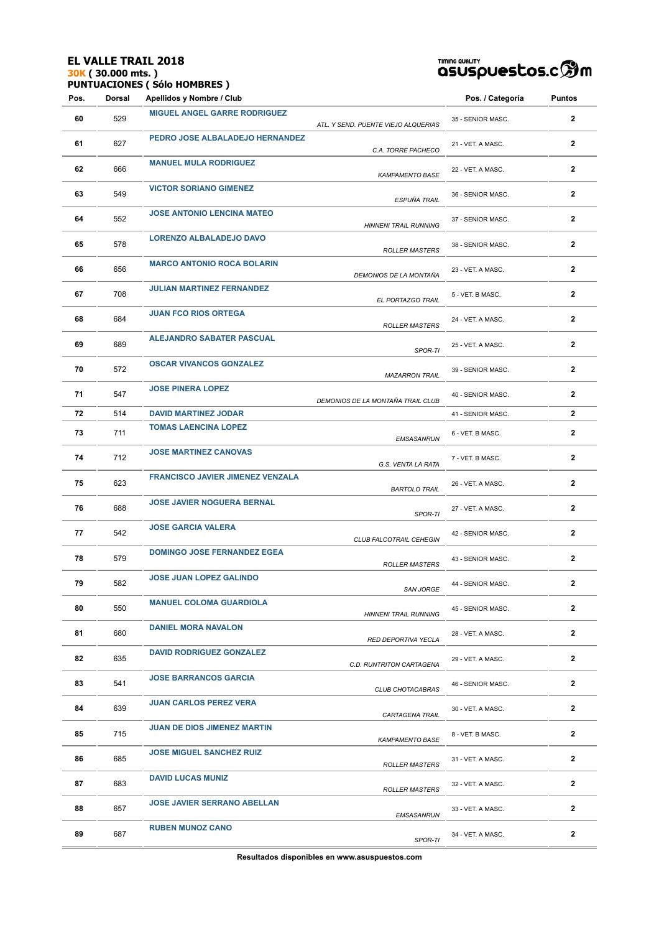## **EL VALLE TRAIL 2018 30K ( 30.000 mts. )**

**PUNTUACIONES ( Sólo HOMBRES )**

# TIMING QUALITY<br>QSUSPUESCOS.C **SOM**

| Pos. | Dorsal | Apellidos y Nombre / Club               |                                     | Pos. / Categoría  | Puntos         |
|------|--------|-----------------------------------------|-------------------------------------|-------------------|----------------|
| 60   | 529    | <b>MIGUEL ANGEL GARRE RODRIGUEZ</b>     | ATL. Y SEND. PUENTE VIEJO ALQUERIAS | 35 - SENIOR MASC. | 2              |
| 61   | 627    | PEDRO JOSE ALBALADEJO HERNANDEZ         | C.A. TORRE PACHECO                  | 21 - VET. A MASC. | $\mathbf{2}$   |
| 62   | 666    | <b>MANUEL MULA RODRIGUEZ</b>            | <b>KAMPAMENTO BASE</b>              | 22 - VET. A MASC. | $\mathbf{2}$   |
| 63   | 549    | <b>VICTOR SORIANO GIMENEZ</b>           | ESPUÑA TRAIL                        | 36 - SENIOR MASC. | $\overline{2}$ |
| 64   | 552    | <b>JOSE ANTONIO LENCINA MATEO</b>       | <b>HINNENI TRAIL RUNNING</b>        | 37 - SENIOR MASC. | $\mathbf{2}$   |
| 65   | 578    | LORENZO ALBALADEJO DAVO                 | <b>ROLLER MASTERS</b>               | 38 - SENIOR MASC. | $\mathbf{2}$   |
| 66   | 656    | <b>MARCO ANTONIO ROCA BOLARIN</b>       | DEMONIOS DE LA MONTAÑA              | 23 - VET. A MASC. | $\mathbf 2$    |
| 67   | 708    | <b>JULIAN MARTINEZ FERNANDEZ</b>        | EL PORTAZGO TRAIL                   | 5 - VET. B MASC.  | 2              |
| 68   | 684    | <b>JUAN FCO RIOS ORTEGA</b>             | <b>ROLLER MASTERS</b>               | 24 - VET. A MASC. | $\mathbf{2}$   |
| 69   | 689    | <b>ALEJANDRO SABATER PASCUAL</b>        | SPOR-TI                             | 25 - VET. A MASC. | 2              |
| 70   | 572    | <b>OSCAR VIVANCOS GONZALEZ</b>          | <b>MAZARRON TRAIL</b>               | 39 - SENIOR MASC. | $\mathbf{2}$   |
| 71   | 547    | <b>JOSE PINERA LOPEZ</b>                | DEMONIOS DE LA MONTAÑA TRAIL CLUB   | 40 - SENIOR MASC. | 2              |
| 72   | 514    | <b>DAVID MARTINEZ JODAR</b>             |                                     | 41 - SENIOR MASC. | $\mathbf{2}$   |
| 73   | 711    | <b>TOMAS LAENCINA LOPEZ</b>             | EMSASANRUN                          | 6 - VET. B MASC.  | $\mathbf{2}$   |
| 74   | 712    | <b>JOSE MARTINEZ CANOVAS</b>            | G.S. VENTA LA RATA                  | 7 - VET. B MASC.  | $\mathbf{2}$   |
| 75   | 623    | <b>FRANCISCO JAVIER JIMENEZ VENZALA</b> | <b>BARTOLO TRAIL</b>                | 26 - VET. A MASC. | $\mathbf{2}$   |
| 76   | 688    | <b>JOSE JAVIER NOGUERA BERNAL</b>       | SPOR-TI                             | 27 - VET. A MASC. | 2              |
| 77   | 542    | <b>JOSE GARCIA VALERA</b>               | CLUB FALCOTRAIL CEHEGIN             | 42 - SENIOR MASC. | $\mathbf{2}$   |
| 78   | 579    | <b>DOMINGO JOSE FERNANDEZ EGEA</b>      | <b>ROLLER MASTERS</b>               | 43 - SENIOR MASC. | 2              |
| 79   | 582    | <b>JOSE JUAN LOPEZ GALINDO</b>          | <b>SAN JORGE</b>                    | 44 - SENIOR MASC. | $\mathbf{2}$   |
| 80   | 550    | <b>MANUEL COLOMA GUARDIOLA</b>          | <b>HINNENI TRAIL RUNNING</b>        | 45 - SENIOR MASC. | 2              |
| 81   | 680    | <b>DANIEL MORA NAVALON</b>              | RED DEPORTIVA YECLA                 | 28 - VET. A MASC. | $\mathbf{2}$   |
| 82   | 635    | <b>DAVID RODRIGUEZ GONZALEZ</b>         | C.D. RUNTRITON CARTAGENA            | 29 - VET. A MASC. | $\mathbf{2}$   |
| 83   | 541    | <b>JOSE BARRANCOS GARCIA</b>            | CLUB CHOTACABRAS                    | 46 - SENIOR MASC. | $\mathbf{2}$   |
| 84   | 639    | <b>JUAN CARLOS PEREZ VERA</b>           | CARTAGENA TRAIL                     | 30 - VET. A MASC. | $\mathbf{2}$   |
| 85   | 715    | <b>JUAN DE DIOS JIMENEZ MARTIN</b>      | <b>KAMPAMENTO BASE</b>              | 8 - VET. B MASC.  | $\mathbf{2}$   |
| 86   | 685    | <b>JOSE MIGUEL SANCHEZ RUIZ</b>         | <b>ROLLER MASTERS</b>               | 31 - VET. A MASC. | $\mathbf{2}$   |
| 87   | 683    | <b>DAVID LUCAS MUNIZ</b>                | <b>ROLLER MASTERS</b>               | 32 - VET. A MASC. | $\mathbf{2}$   |
| 88   | 657    | <b>JOSE JAVIER SERRANO ABELLAN</b>      | EMSASANRUN                          | 33 - VET. A MASC. | $\mathbf{2}$   |
| 89   | 687    | <b>RUBEN MUNOZ CANO</b>                 | SPOR-TI                             | 34 - VET. A MASC. | 2              |